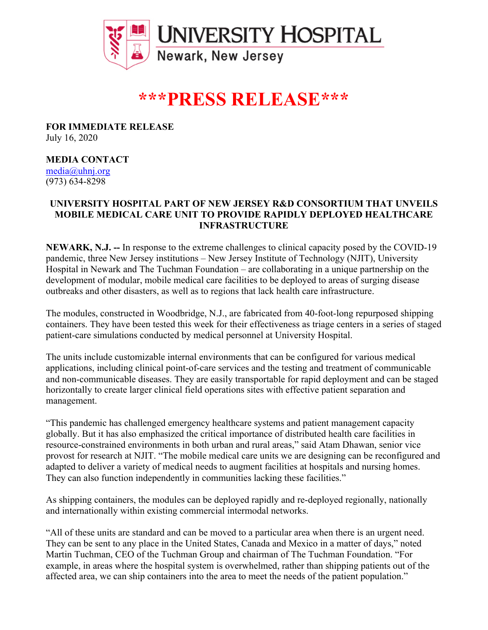

# **\*\*\*PRESS RELEASE\*\*\***

**FOR IMMEDIATE RELEASE** July 16, 2020

## **MEDIA CONTACT**

media@uhnj.org (973) 634-8298

## **UNIVERSITY HOSPITAL PART OF NEW JERSEY R&D CONSORTIUM THAT UNVEILS MOBILE MEDICAL CARE UNIT TO PROVIDE RAPIDLY DEPLOYED HEALTHCARE INFRASTRUCTURE**

**NEWARK, N.J. --** In response to the extreme challenges to clinical capacity posed by the COVID-19 pandemic, three New Jersey institutions – New Jersey Institute of Technology (NJIT), University Hospital in Newark and The Tuchman Foundation – are collaborating in a unique partnership on the development of modular, mobile medical care facilities to be deployed to areas of surging disease outbreaks and other disasters, as well as to regions that lack health care infrastructure.

The modules, constructed in Woodbridge, N.J., are fabricated from 40-foot-long repurposed shipping containers. They have been tested this week for their effectiveness as triage centers in a series of staged patient-care simulations conducted by medical personnel at University Hospital.

The units include customizable internal environments that can be configured for various medical applications, including clinical point-of-care services and the testing and treatment of communicable and non-communicable diseases. They are easily transportable for rapid deployment and can be staged horizontally to create larger clinical field operations sites with effective patient separation and management.

"This pandemic has challenged emergency healthcare systems and patient management capacity globally. But it has also emphasized the critical importance of distributed health care facilities in resource-constrained environments in both urban and rural areas," said Atam Dhawan, senior vice provost for research at NJIT. "The mobile medical care units we are designing can be reconfigured and adapted to deliver a variety of medical needs to augment facilities at hospitals and nursing homes. They can also function independently in communities lacking these facilities."

As shipping containers, the modules can be deployed rapidly and re-deployed regionally, nationally and internationally within existing commercial intermodal networks.

"All of these units are standard and can be moved to a particular area when there is an urgent need. They can be sent to any place in the United States, Canada and Mexico in a matter of days," noted Martin Tuchman, CEO of the Tuchman Group and chairman of The Tuchman Foundation. "For example, in areas where the hospital system is overwhelmed, rather than shipping patients out of the affected area, we can ship containers into the area to meet the needs of the patient population."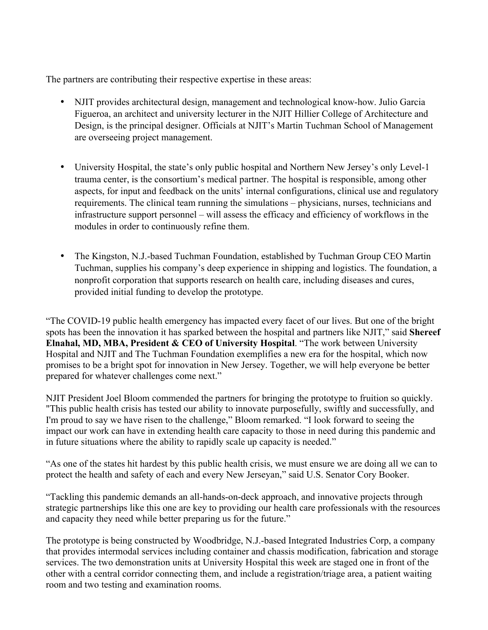The partners are contributing their respective expertise in these areas:

- NJIT provides architectural design, management and technological know-how. Julio Garcia Figueroa, an architect and university lecturer in the NJIT Hillier College of Architecture and Design, is the principal designer. Officials at NJIT's Martin Tuchman School of Management are overseeing project management.
- University Hospital, the state's only public hospital and Northern New Jersey's only Level-1 trauma center, is the consortium's medical partner. The hospital is responsible, among other aspects, for input and feedback on the units' internal configurations, clinical use and regulatory requirements. The clinical team running the simulations – physicians, nurses, technicians and infrastructure support personnel – will assess the efficacy and efficiency of workflows in the modules in order to continuously refine them.
- The Kingston, N.J.-based Tuchman Foundation, established by Tuchman Group CEO Martin Tuchman, supplies his company's deep experience in shipping and logistics. The foundation, a nonprofit corporation that supports research on health care, including diseases and cures, provided initial funding to develop the prototype.

"The COVID-19 public health emergency has impacted every facet of our lives. But one of the bright spots has been the innovation it has sparked between the hospital and partners like NJIT," said **Shereef Elnahal, MD, MBA, President & CEO of University Hospital**. "The work between University Hospital and NJIT and The Tuchman Foundation exemplifies a new era for the hospital, which now promises to be a bright spot for innovation in New Jersey. Together, we will help everyone be better prepared for whatever challenges come next."

NJIT President Joel Bloom commended the partners for bringing the prototype to fruition so quickly. "This public health crisis has tested our ability to innovate purposefully, swiftly and successfully, and I'm proud to say we have risen to the challenge," Bloom remarked. "I look forward to seeing the impact our work can have in extending health care capacity to those in need during this pandemic and in future situations where the ability to rapidly scale up capacity is needed."

"As one of the states hit hardest by this public health crisis, we must ensure we are doing all we can to protect the health and safety of each and every New Jerseyan," said U.S. Senator Cory Booker.

"Tackling this pandemic demands an all-hands-on-deck approach, and innovative projects through strategic partnerships like this one are key to providing our health care professionals with the resources and capacity they need while better preparing us for the future."

The prototype is being constructed by Woodbridge, N.J.-based Integrated Industries Corp, a company that provides intermodal services including container and chassis modification, fabrication and storage services. The two demonstration units at University Hospital this week are staged one in front of the other with a central corridor connecting them, and include a registration/triage area, a patient waiting room and two testing and examination rooms.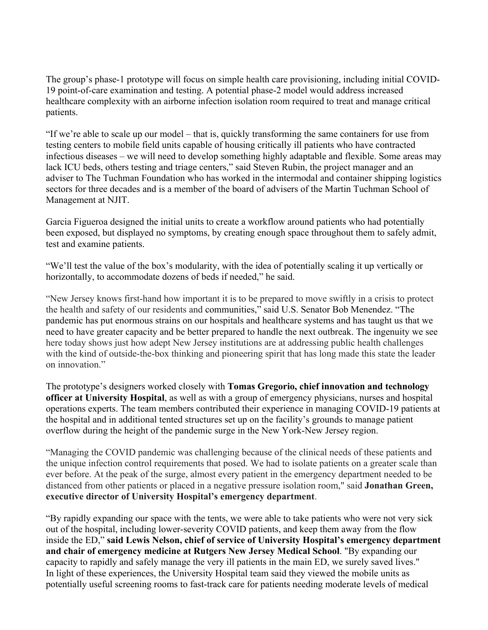The group's phase-1 prototype will focus on simple health care provisioning, including initial COVID-19 point-of-care examination and testing. A potential phase-2 model would address increased healthcare complexity with an airborne infection isolation room required to treat and manage critical patients.

"If we're able to scale up our model – that is, quickly transforming the same containers for use from testing centers to mobile field units capable of housing critically ill patients who have contracted infectious diseases – we will need to develop something highly adaptable and flexible. Some areas may lack ICU beds, others testing and triage centers," said Steven Rubin, the project manager and an adviser to The Tuchman Foundation who has worked in the intermodal and container shipping logistics sectors for three decades and is a member of the board of advisers of the Martin Tuchman School of Management at NJIT.

Garcia Figueroa designed the initial units to create a workflow around patients who had potentially been exposed, but displayed no symptoms, by creating enough space throughout them to safely admit, test and examine patients.

"We'll test the value of the box's modularity, with the idea of potentially scaling it up vertically or horizontally, to accommodate dozens of beds if needed," he said.

"New Jersey knows first-hand how important it is to be prepared to move swiftly in a crisis to protect the health and safety of our residents and communities," said U.S. Senator Bob Menendez. "The pandemic has put enormous strains on our hospitals and healthcare systems and has taught us that we need to have greater capacity and be better prepared to handle the next outbreak. The ingenuity we see here today shows just how adept New Jersey institutions are at addressing public health challenges with the kind of outside-the-box thinking and pioneering spirit that has long made this state the leader on innovation"

The prototype's designers worked closely with **Tomas Gregorio, chief innovation and technology officer at University Hospital**, as well as with a group of emergency physicians, nurses and hospital operations experts. The team members contributed their experience in managing COVID-19 patients at the hospital and in additional tented structures set up on the facility's grounds to manage patient overflow during the height of the pandemic surge in the New York-New Jersey region.

"Managing the COVID pandemic was challenging because of the clinical needs of these patients and the unique infection control requirements that posed. We had to isolate patients on a greater scale than ever before. At the peak of the surge, almost every patient in the emergency department needed to be distanced from other patients or placed in a negative pressure isolation room," said **Jonathan Green, executive director of University Hospital's emergency department**.

"By rapidly expanding our space with the tents, we were able to take patients who were not very sick out of the hospital, including lower-severity COVID patients, and keep them away from the flow inside the ED," **said Lewis Nelson, chief of service of University Hospital's emergency department and chair of emergency medicine at Rutgers New Jersey Medical School**. "By expanding our capacity to rapidly and safely manage the very ill patients in the main ED, we surely saved lives." In light of these experiences, the University Hospital team said they viewed the mobile units as potentially useful screening rooms to fast-track care for patients needing moderate levels of medical